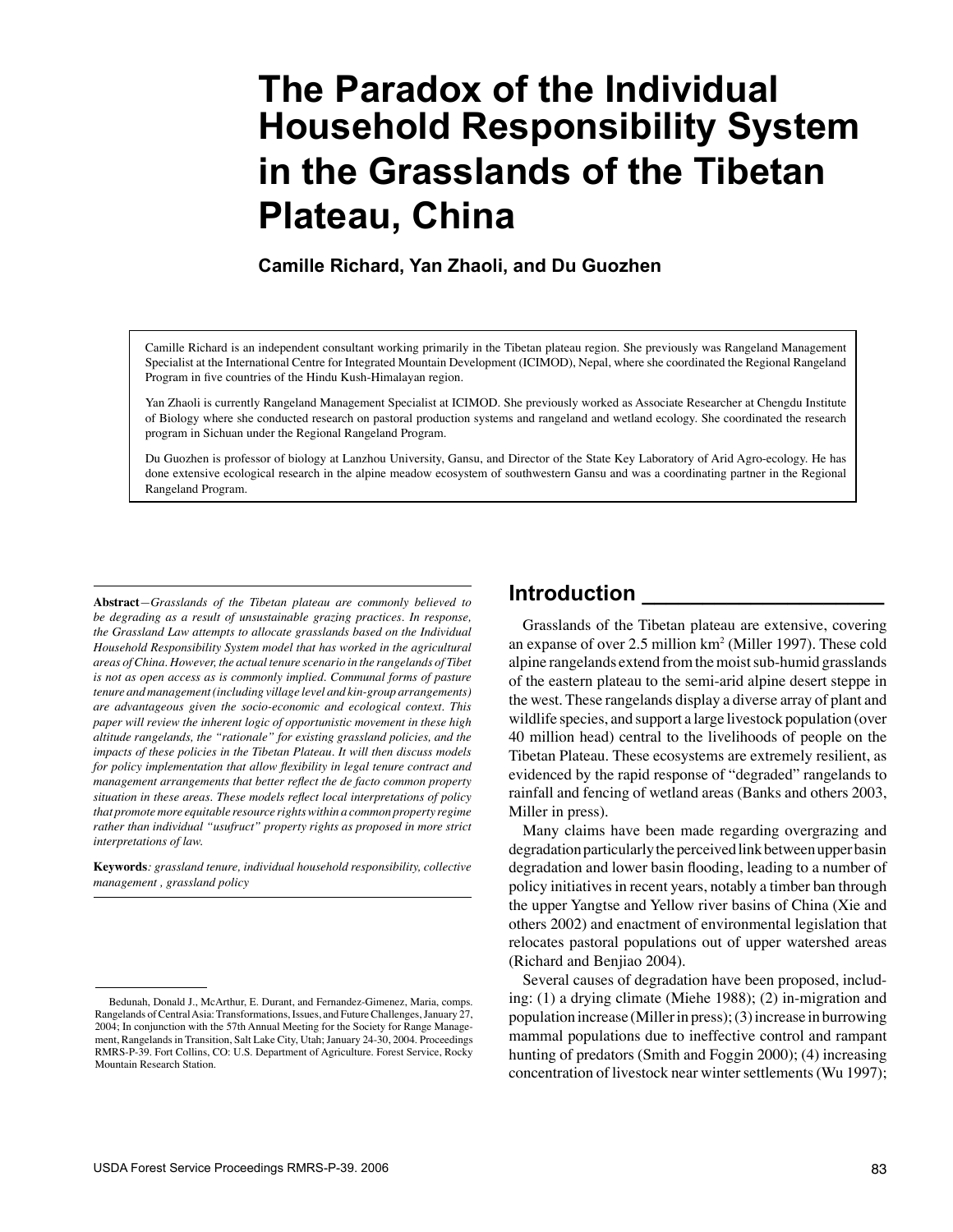# **The Paradox of the Individual Household Responsibility System in the Grasslands of the Tibetan Plateau, China**

**Camille Richard, Yan Zhaoli, and Du Guozhen**

Camille Richard is an independent consultant working primarily in the Tibetan plateau region. She previously was Rangeland Management Specialist at the International Centre for Integrated Mountain Development (ICIMOD), Nepal, where she coordinated the Regional Rangeland Program in five countries of the Hindu Kush-Himalayan region.

Yan Zhaoli is currently Rangeland Management Specialist at ICIMOD. She previously worked as Associate Researcher at Chengdu Institute of Biology where she conducted research on pastoral production systems and rangeland and wetland ecology. She coordinated the research program in Sichuan under the Regional Rangeland Program.

Du Guozhen is professor of biology at Lanzhou University, Gansu, and Director of the State Key Laboratory of Arid Agro-ecology. He has done extensive ecological research in the alpine meadow ecosystem of southwestern Gansu and was a coordinating partner in the Regional Rangeland Program.

**Abstract***—Grasslands of the Tibetan plateau are commonly believed to be degrading as a result of unsustainable grazing practices. In response, the Grassland Law attempts to allocate grasslands based on the Individual Household Responsibility System model that has worked in the agricultural areas of China. However, the actual tenure scenario in the rangelands of Tibet is not as open access as is commonly implied. Communal forms of pasture tenure and management (including village level and kin-group arrangements) are advantageous given the socio-economic and ecological context. This paper will review the inherent logic of opportunistic movement in these high altitude rangelands, the "rationale" for existing grassland policies, and the impacts of these policies in the Tibetan Plateau. It will then discuss models*  for policy implementation that allow flexibility in legal tenure contract and *management arrangements that better reflect the de facto common property situation in these areas. These models reflect local interpretations of policy that promote more equitable resource rights within a common property regime rather than individual "usufruct" property rights as proposed in more strict interpretations of law.*

**Keywords***: grassland tenure, individual household responsibility, collective management , grassland policy*

## **Introduction \_\_\_\_\_\_\_\_\_\_\_\_\_\_\_\_\_\_\_\_**

Grasslands of the Tibetan plateau are extensive, covering an expanse of over 2.5 million km2 (Miller 1997). These cold alpine rangelands extend from the moist sub-humid grasslands of the eastern plateau to the semi-arid alpine desert steppe in the west. These rangelands display a diverse array of plant and wildlife species, and support a large livestock population (over 40 million head) central to the livelihoods of people on the Tibetan Plateau. These ecosystems are extremely resilient, as evidenced by the rapid response of "degraded" rangelands to rainfall and fencing of wetland areas (Banks and others 2003, Miller in press).

Many claims have been made regarding overgrazing and degradation particularly the perceived link between upper basin degradation and lower basin flooding, leading to a number of policy initiatives in recent years, notably a timber ban through the upper Yangtse and Yellow river basins of China (Xie and others 2002) and enactment of environmental legislation that relocates pastoral populations out of upper watershed areas (Richard and Benjiao 2004).

Several causes of degradation have been proposed, including: (1) a drying climate (Miehe 1988); (2) in-migration and population increase (Miller in press); (3) increase in burrowing mammal populations due to ineffective control and rampant hunting of predators (Smith and Foggin 2000); (4) increasing concentration of livestock near winter settlements (Wu 1997);

Bedunah, Donald J., McArthur, E. Durant, and Fernandez-Gimenez, Maria, comps. Rangelands of Central Asia: Transformations, Issues, and Future Challenges, January 27, 2004; In conjunction with the 57th Annual Meeting for the Society for Range Management, Rangelands in Transition, Salt Lake City, Utah; January 24-30, 2004. Proceedings RMRS-P-39. Fort Collins, CO: U.S. Department of Agriculture. Forest Service, Rocky Mountain Research Station.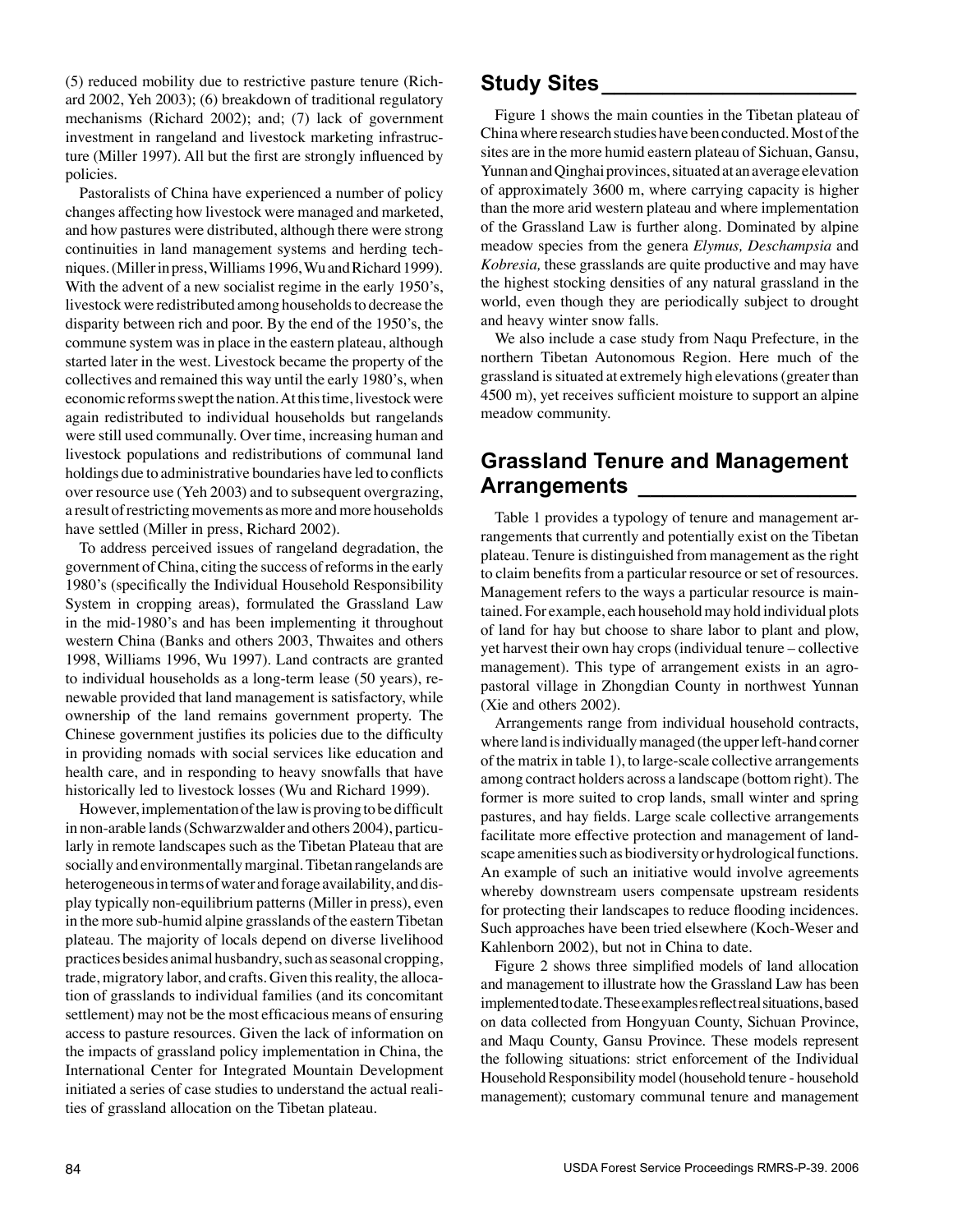(5) reduced mobility due to restrictive pasture tenure (Richard 2002, Yeh 2003); (6) breakdown of traditional regulatory mechanisms (Richard 2002); and; (7) lack of government investment in rangeland and livestock marketing infrastructure (Miller 1997). All but the first are strongly influenced by policies.

Pastoralists of China have experienced a number of policy changes affecting how livestock were managed and marketed, and how pastures were distributed, although there were strong continuities in land management systems and herding techniques. (Miller in press, Williams 1996, Wu and Richard 1999). With the advent of a new socialist regime in the early 1950's, livestock were redistributed among households to decrease the disparity between rich and poor. By the end of the 1950's, the commune system was in place in the eastern plateau, although started later in the west. Livestock became the property of the collectives and remained this way until the early 1980's, when economic reforms swept the nation. At this time, livestock were again redistributed to individual households but rangelands were still used communally. Over time, increasing human and livestock populations and redistributions of communal land holdings due to administrative boundaries have led to conflicts over resource use (Yeh 2003) and to subsequent overgrazing, a result of restricting movements as more and more households have settled (Miller in press, Richard 2002).

To address perceived issues of rangeland degradation, the government of China, citing the success of reforms in the early 1980's (specifically the Individual Household Responsibility System in cropping areas), formulated the Grassland Law in the mid-1980's and has been implementing it throughout western China (Banks and others 2003, Thwaites and others 1998, Williams 1996, Wu 1997). Land contracts are granted to individual households as a long-term lease (50 years), renewable provided that land management is satisfactory, while ownership of the land remains government property. The Chinese government justifies its policies due to the difficulty in providing nomads with social services like education and health care, and in responding to heavy snowfalls that have historically led to livestock losses (Wu and Richard 1999).

However, implementation of the law is proving to be difficult in non-arable lands (Schwarzwalder and others 2004), particularly in remote landscapes such as the Tibetan Plateau that are socially and environmentally marginal. Tibetan rangelands are heterogeneous in terms of water and forage availability, and display typically non-equilibrium patterns (Miller in press), even in the more sub-humid alpine grasslands of the eastern Tibetan plateau. The majority of locals depend on diverse livelihood practices besides animal husbandry, such as seasonal cropping, trade, migratory labor, and crafts. Given this reality, the allocation of grasslands to individual families (and its concomitant settlement) may not be the most efficacious means of ensuring access to pasture resources. Given the lack of information on the impacts of grassland policy implementation in China, the International Center for Integrated Mountain Development initiated a series of case studies to understand the actual realities of grassland allocation on the Tibetan plateau.

## **Study Sites\_\_\_\_\_\_\_\_\_\_\_\_\_\_\_\_\_\_\_\_\_**

Figure 1 shows the main counties in the Tibetan plateau of China where research studies have been conducted. Most of the sites are in the more humid eastern plateau of Sichuan, Gansu, Yunnan and Qinghai provinces, situated at an average elevation of approximately 3600 m, where carrying capacity is higher than the more arid western plateau and where implementation of the Grassland Law is further along. Dominated by alpine meadow species from the genera *Elymus, Deschampsia* and *Kobresia,* these grasslands are quite productive and may have the highest stocking densities of any natural grassland in the world, even though they are periodically subject to drought and heavy winter snow falls.

We also include a case study from Naqu Prefecture, in the northern Tibetan Autonomous Region. Here much of the grassland is situated at extremely high elevations (greater than 4500 m), yet receives sufficient moisture to support an alpine meadow community.

## **Grassland Tenure and Management Arrangements \_\_\_\_\_\_\_\_\_\_\_\_\_\_\_\_\_\_**

Table 1 provides a typology of tenure and management arrangements that currently and potentially exist on the Tibetan plateau. Tenure is distinguished from management as the right to claim benefits from a particular resource or set of resources. Management refers to the ways a particular resource is maintained. For example, each household may hold individual plots of land for hay but choose to share labor to plant and plow, yet harvest their own hay crops (individual tenure – collective management). This type of arrangement exists in an agropastoral village in Zhongdian County in northwest Yunnan (Xie and others 2002).

Arrangements range from individual household contracts, where land is individually managed (the upper left-hand corner of the matrix in table 1), to large-scale collective arrangements among contract holders across a landscape (bottom right). The former is more suited to crop lands, small winter and spring pastures, and hay fields. Large scale collective arrangements facilitate more effective protection and management of landscape amenities such as biodiversity or hydrological functions. An example of such an initiative would involve agreements whereby downstream users compensate upstream residents for protecting their landscapes to reduce flooding incidences. Such approaches have been tried elsewhere (Koch-Weser and Kahlenborn 2002), but not in China to date.

Figure 2 shows three simplified models of land allocation and management to illustrate how the Grassland Law has been implemented to date. These examples reflect real situations, based on data collected from Hongyuan County, Sichuan Province, and Maqu County, Gansu Province. These models represent the following situations: strict enforcement of the Individual Household Responsibility model (household tenure - household management); customary communal tenure and management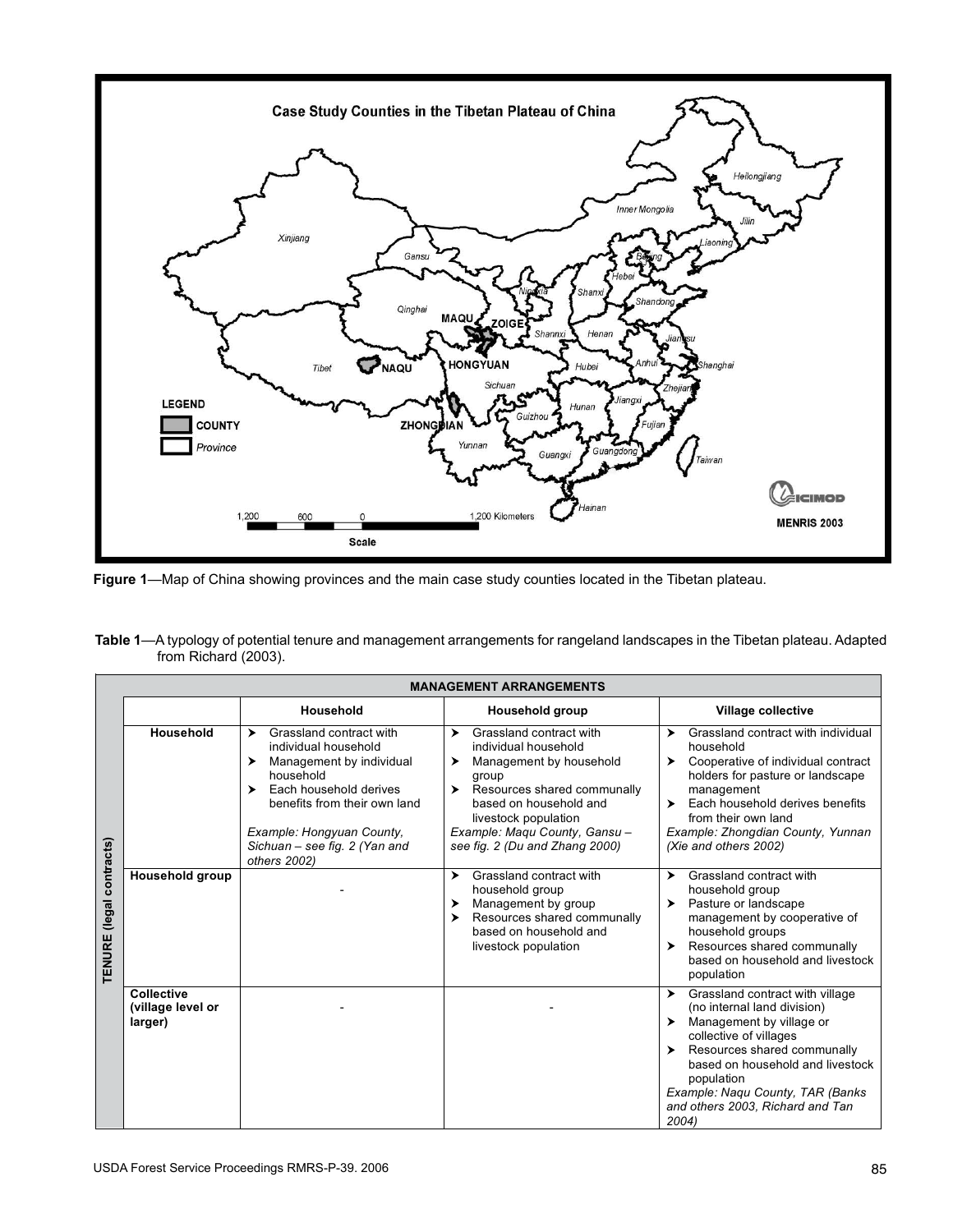

**Figure 1**—Map of China showing provinces and the main case study counties located in the Tibetan plateau.

|                      | Table 1—A typology of potential tenure and management arrangements for rangeland landscapes in the Tibetan plateau. Adapted |  |
|----------------------|-----------------------------------------------------------------------------------------------------------------------------|--|
| from Richard (2003). |                                                                                                                             |  |

|                                       | <b>MANAGEMENT ARRANGEMENTS</b>                    |                                                                                                                                                                                                                                                 |                                                                                                                                                                                                                                                       |                                                                                                                                                                                                                                                                                             |  |  |  |  |
|---------------------------------------|---------------------------------------------------|-------------------------------------------------------------------------------------------------------------------------------------------------------------------------------------------------------------------------------------------------|-------------------------------------------------------------------------------------------------------------------------------------------------------------------------------------------------------------------------------------------------------|---------------------------------------------------------------------------------------------------------------------------------------------------------------------------------------------------------------------------------------------------------------------------------------------|--|--|--|--|
|                                       |                                                   | Household                                                                                                                                                                                                                                       | <b>Household group</b>                                                                                                                                                                                                                                | <b>Village collective</b>                                                                                                                                                                                                                                                                   |  |  |  |  |
| contracts)<br>(legal<br><b>TENURE</b> | Household                                         | Grassland contract with<br>➤<br>individual household<br>Management by individual<br>≻<br>household<br>Each household derives<br>⋗<br>benefits from their own land<br>Example: Hongyuan County,<br>Sichuan - see fig. 2 (Yan and<br>others 2002) | Grassland contract with<br>≻<br>individual household<br>Management by household<br>≻<br>group<br>Resources shared communally<br>≻<br>based on household and<br>livestock population<br>Example: Magu County, Gansu-<br>see fig. 2 (Du and Zhang 2000) | Grassland contract with individual<br>➤<br>household<br>Cooperative of individual contract<br>▸<br>holders for pasture or landscape<br>management<br>Each household derives benefits<br>▸<br>from their own land<br>Example: Zhongdian County, Yunnan<br>(Xie and others 2002)              |  |  |  |  |
|                                       | <b>Household group</b>                            |                                                                                                                                                                                                                                                 | Grassland contract with<br>➤<br>household group<br>Management by group<br>➤<br>Resources shared communally<br>▸<br>based on household and<br>livestock population                                                                                     | Grassland contract with<br>➤<br>household group<br>Pasture or landscape<br>▸<br>management by cooperative of<br>household groups<br>Resources shared communally<br>▸<br>based on household and livestock<br>population                                                                      |  |  |  |  |
|                                       | <b>Collective</b><br>(village level or<br>larger) |                                                                                                                                                                                                                                                 |                                                                                                                                                                                                                                                       | Grassland contract with village<br>▸<br>(no internal land division)<br>Management by village or<br>collective of villages<br>Resources shared communally<br>based on household and livestock<br>population<br>Example: Nagu County, TAR (Banks<br>and others 2003, Richard and Tan<br>2004) |  |  |  |  |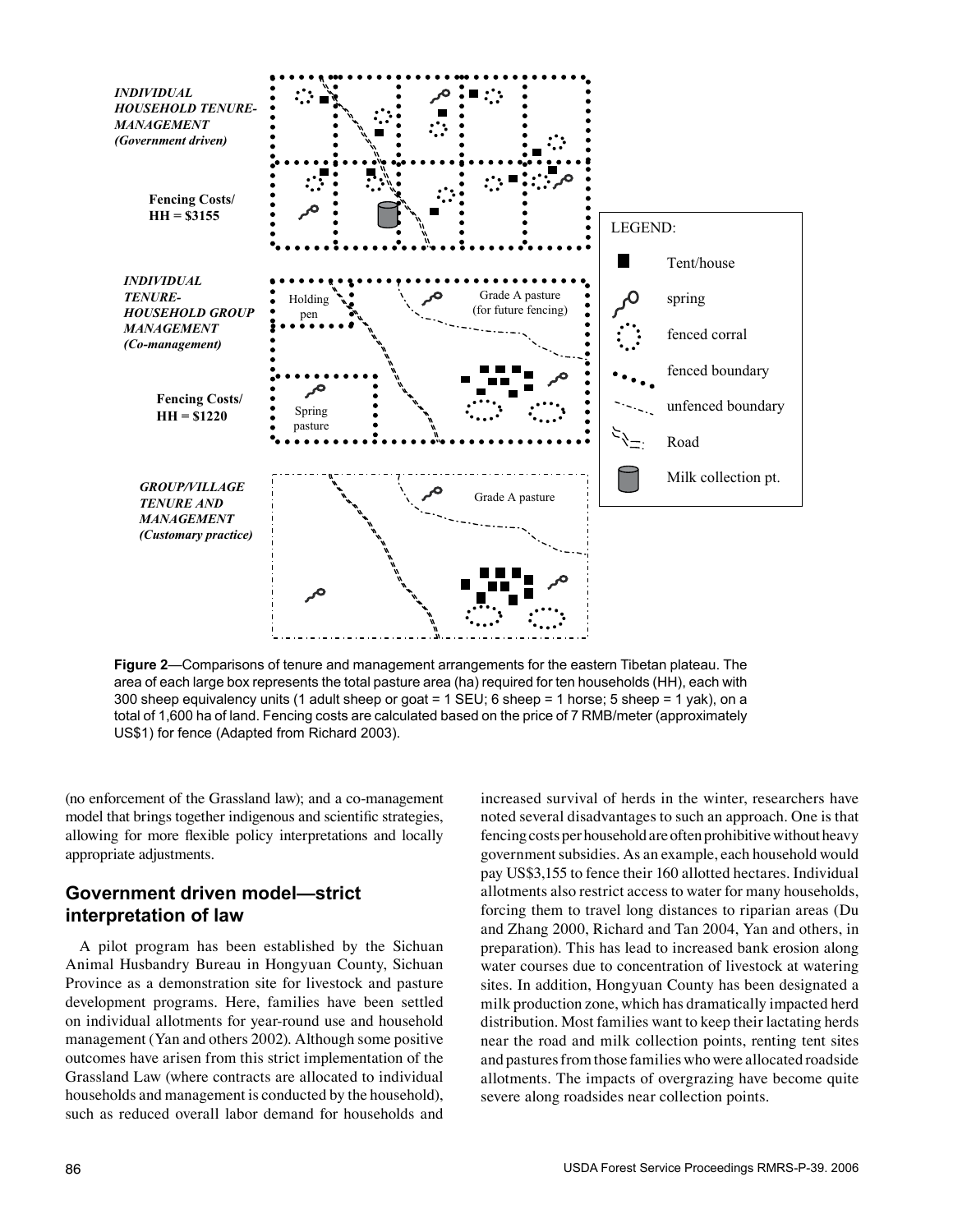

**Figure 2**—Comparisons of tenure and management arrangements for the eastern Tibetan plateau. The area of each large box represents the total pasture area (ha) required for ten households (HH), each with 300 sheep equivalency units (1 adult sheep or goat = 1 SEU; 6 sheep = 1 horse; 5 sheep = 1 yak), on a total of 1,600 ha of land. Fencing costs are calculated based on the price of 7 RMB/meter (approximately US\$1) for fence (Adapted from Richard 2003).

(no enforcement of the Grassland law); and a co-management model that brings together indigenous and scientific strategies, allowing for more flexible policy interpretations and locally appropriate adjustments.

#### **Government driven model—strict interpretation of law**

A pilot program has been established by the Sichuan Animal Husbandry Bureau in Hongyuan County, Sichuan Province as a demonstration site for livestock and pasture development programs. Here, families have been settled on individual allotments for year-round use and household management (Yan and others 2002). Although some positive outcomes have arisen from this strict implementation of the Grassland Law (where contracts are allocated to individual households and management is conducted by the household), such as reduced overall labor demand for households and

increased survival of herds in the winter, researchers have noted several disadvantages to such an approach. One is that fencing costs per household are often prohibitive without heavy government subsidies. As an example, each household would pay US\$3,155 to fence their 160 allotted hectares. Individual allotments also restrict access to water for many households, forcing them to travel long distances to riparian areas (Du and Zhang 2000, Richard and Tan 2004, Yan and others, in preparation). This has lead to increased bank erosion along water courses due to concentration of livestock at watering sites. In addition, Hongyuan County has been designated a milk production zone, which has dramatically impacted herd distribution. Most families want to keep their lactating herds near the road and milk collection points, renting tent sites and pastures from those families who were allocated roadside allotments. The impacts of overgrazing have become quite severe along roadsides near collection points.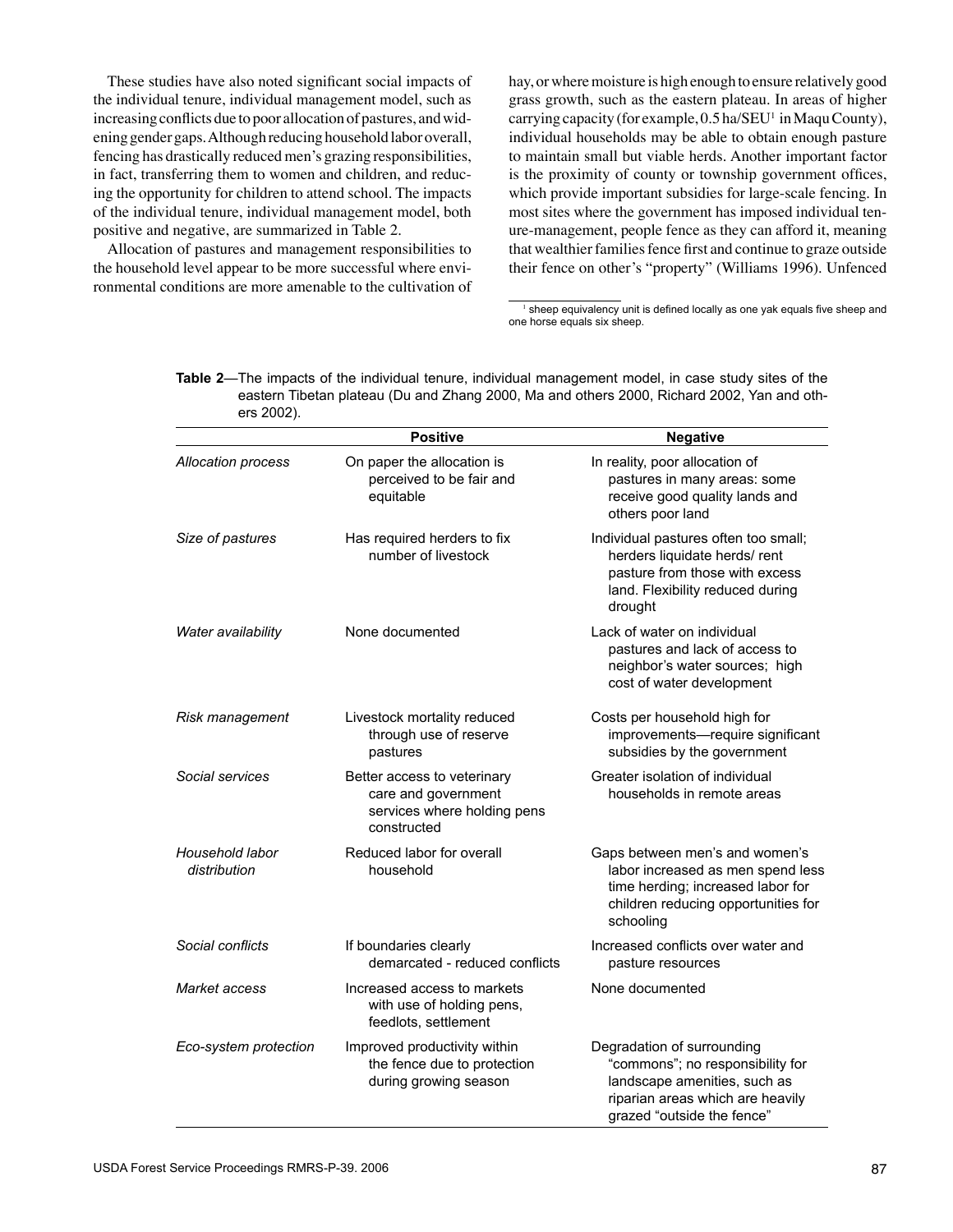These studies have also noted significant social impacts of the individual tenure, individual management model, such as increasing conflicts due to poor allocation of pastures, and widening gender gaps. Although reducing household labor overall, fencing has drastically reduced men's grazing responsibilities, in fact, transferring them to women and children, and reducing the opportunity for children to attend school. The impacts of the individual tenure, individual management model, both positive and negative, are summarized in Table 2.

Allocation of pastures and management responsibilities to the household level appear to be more successful where environmental conditions are more amenable to the cultivation of

hay, or where moisture is high enough to ensure relatively good grass growth, such as the eastern plateau. In areas of higher carrying capacity (for example, 0.5 ha/SEU<sup>1</sup> in Maqu County), individual households may be able to obtain enough pasture to maintain small but viable herds. Another important factor is the proximity of county or township government offices, which provide important subsidies for large-scale fencing. In most sites where the government has imposed individual tenure-management, people fence as they can afford it, meaning that wealthier families fence first and continue to graze outside their fence on other's "property" (Williams 1996). Unfenced

 $1$  sheep equivalency unit is defined locally as one yak equals five sheep and one horse equals six sheep.

**Table 2**—The impacts of the individual tenure, individual management model, in case study sites of the eastern Tibetan plateau (Du and Zhang 2000, Ma and others 2000, Richard 2002, Yan and others 2002).

|                                 | <b>Positive</b>                                                                                  | <b>Negative</b>                                                                                                                                                  |
|---------------------------------|--------------------------------------------------------------------------------------------------|------------------------------------------------------------------------------------------------------------------------------------------------------------------|
| Allocation process              | On paper the allocation is<br>perceived to be fair and<br>equitable                              | In reality, poor allocation of<br>pastures in many areas: some<br>receive good quality lands and<br>others poor land                                             |
| Size of pastures                | Has required herders to fix<br>number of livestock                                               | Individual pastures often too small;<br>herders liquidate herds/rent<br>pasture from those with excess<br>land. Flexibility reduced during<br>drought            |
| Water availability              | None documented                                                                                  | Lack of water on individual<br>pastures and lack of access to<br>neighbor's water sources; high<br>cost of water development                                     |
| Risk management                 | Livestock mortality reduced<br>through use of reserve<br>pastures                                | Costs per household high for<br>improvements-require significant<br>subsidies by the government                                                                  |
| Social services                 | Better access to veterinary<br>care and government<br>services where holding pens<br>constructed | Greater isolation of individual<br>households in remote areas                                                                                                    |
| Household labor<br>distribution | Reduced labor for overall<br>household                                                           | Gaps between men's and women's<br>labor increased as men spend less<br>time herding; increased labor for<br>children reducing opportunities for<br>schooling     |
| Social conflicts                | If boundaries clearly<br>demarcated - reduced conflicts                                          | Increased conflicts over water and<br>pasture resources                                                                                                          |
| Market access                   | Increased access to markets<br>with use of holding pens,<br>feedlots, settlement                 | None documented                                                                                                                                                  |
| Eco-system protection           | Improved productivity within<br>the fence due to protection<br>during growing season             | Degradation of surrounding<br>"commons"; no responsibility for<br>landscape amenities, such as<br>riparian areas which are heavily<br>grazed "outside the fence" |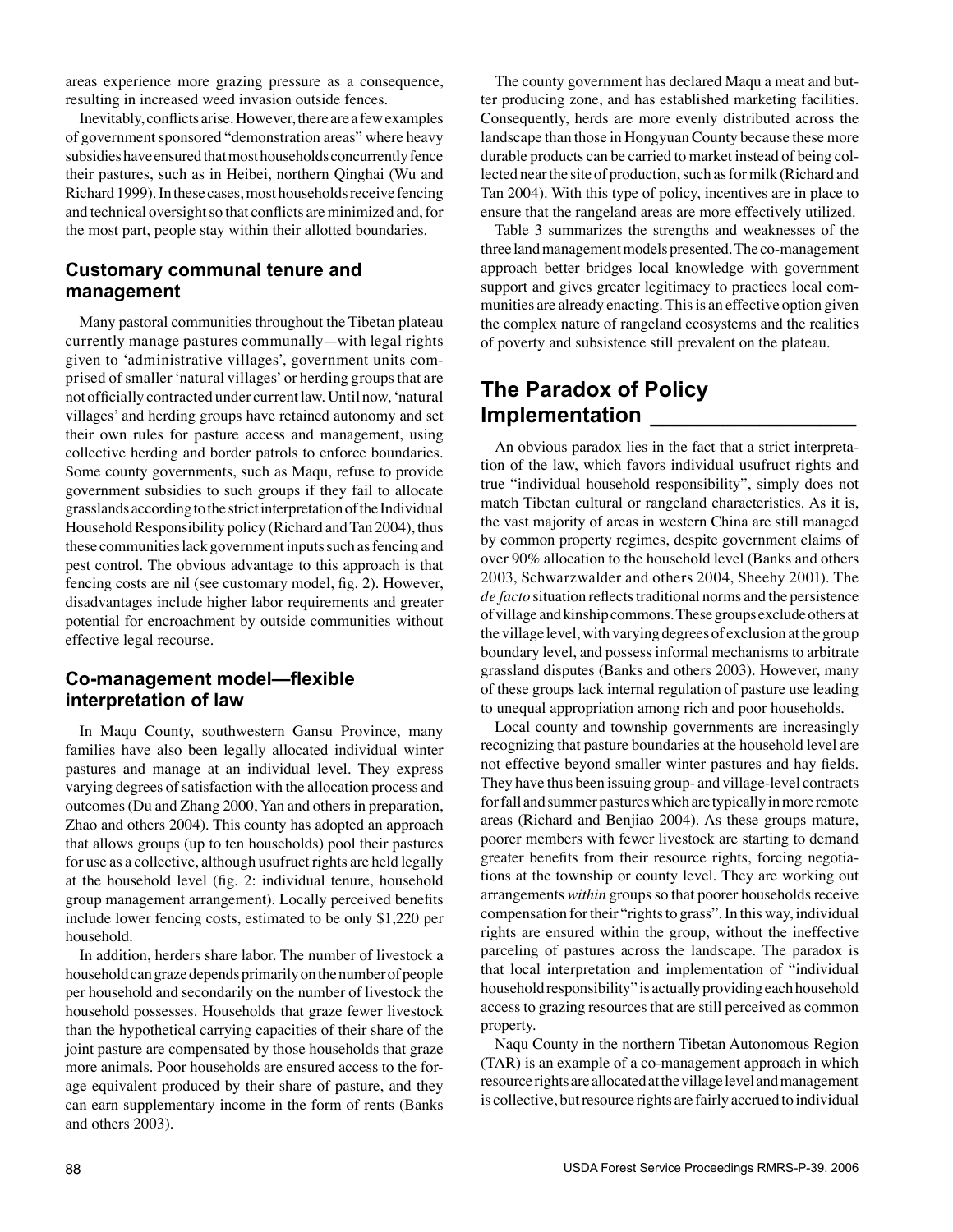areas experience more grazing pressure as a consequence, resulting in increased weed invasion outside fences.

Inevitably, conflicts arise. However, there are a few examples of government sponsored "demonstration areas" where heavy subsidies have ensured that most households concurrently fence their pastures, such as in Heibei, northern Qinghai (Wu and Richard 1999). In these cases, most households receive fencing and technical oversight so that conflicts are minimized and, for the most part, people stay within their allotted boundaries.

#### **Customary communal tenure and management**

Many pastoral communities throughout the Tibetan plateau currently manage pastures communally—with legal rights given to 'administrative villages', government units comprised of smaller 'natural villages' or herding groups that are not officially contracted under current law. Until now, 'natural villages' and herding groups have retained autonomy and set their own rules for pasture access and management, using collective herding and border patrols to enforce boundaries. Some county governments, such as Maqu, refuse to provide government subsidies to such groups if they fail to allocate grasslands according to the strict interpretation of the Individual Household Responsibility policy (Richard and Tan 2004), thus these communities lack government inputs such as fencing and pest control. The obvious advantage to this approach is that fencing costs are nil (see customary model, fig. 2). However, disadvantages include higher labor requirements and greater potential for encroachment by outside communities without effective legal recourse.

#### **Co-management model—flexible interpretation of law**

In Maqu County, southwestern Gansu Province, many families have also been legally allocated individual winter pastures and manage at an individual level. They express varying degrees of satisfaction with the allocation process and outcomes (Du and Zhang 2000, Yan and others in preparation, Zhao and others 2004). This county has adopted an approach that allows groups (up to ten households) pool their pastures for use as a collective, although usufruct rights are held legally at the household level (fig. 2: individual tenure, household group management arrangement). Locally perceived benefits include lower fencing costs, estimated to be only \$1,220 per household.

In addition, herders share labor. The number of livestock a household can graze depends primarily on the number of people per household and secondarily on the number of livestock the household possesses. Households that graze fewer livestock than the hypothetical carrying capacities of their share of the joint pasture are compensated by those households that graze more animals. Poor households are ensured access to the forage equivalent produced by their share of pasture, and they can earn supplementary income in the form of rents (Banks and others 2003).

The county government has declared Maqu a meat and butter producing zone, and has established marketing facilities. Consequently, herds are more evenly distributed across the landscape than those in Hongyuan County because these more durable products can be carried to market instead of being collected near the site of production, such as for milk (Richard and Tan 2004). With this type of policy, incentives are in place to ensure that the rangeland areas are more effectively utilized.

Table 3 summarizes the strengths and weaknesses of the three land management models presented. The co-management approach better bridges local knowledge with government support and gives greater legitimacy to practices local communities are already enacting. This is an effective option given the complex nature of rangeland ecosystems and the realities of poverty and subsistence still prevalent on the plateau.

## **The Paradox of Policy Implementation \_\_\_\_\_\_\_\_\_\_\_\_\_\_\_\_\_**

An obvious paradox lies in the fact that a strict interpretation of the law, which favors individual usufruct rights and true "individual household responsibility", simply does not match Tibetan cultural or rangeland characteristics. As it is, the vast majority of areas in western China are still managed by common property regimes, despite government claims of over 90% allocation to the household level (Banks and others 2003, Schwarzwalder and others 2004, Sheehy 2001). The *de facto* situation reflects traditional norms and the persistence of village and kinship commons. These groups exclude others at the village level, with varying degrees of exclusion at the group boundary level, and possess informal mechanisms to arbitrate grassland disputes (Banks and others 2003). However, many of these groups lack internal regulation of pasture use leading to unequal appropriation among rich and poor households.

Local county and township governments are increasingly recognizing that pasture boundaries at the household level are not effective beyond smaller winter pastures and hay fields. They have thus been issuing group- and village-level contracts for fall and summer pastures which are typically in more remote areas (Richard and Benjiao 2004). As these groups mature, poorer members with fewer livestock are starting to demand greater benefits from their resource rights, forcing negotiations at the township or county level. They are working out arrangements *within* groups so that poorer households receive compensation for their "rights to grass". In this way, individual rights are ensured within the group, without the ineffective parceling of pastures across the landscape. The paradox is that local interpretation and implementation of "individual household responsibility" is actually providing each household access to grazing resources that are still perceived as common property.

Naqu County in the northern Tibetan Autonomous Region (TAR) is an example of a co-management approach in which resource rights are allocated at the village level and management is collective, but resource rights are fairly accrued to individual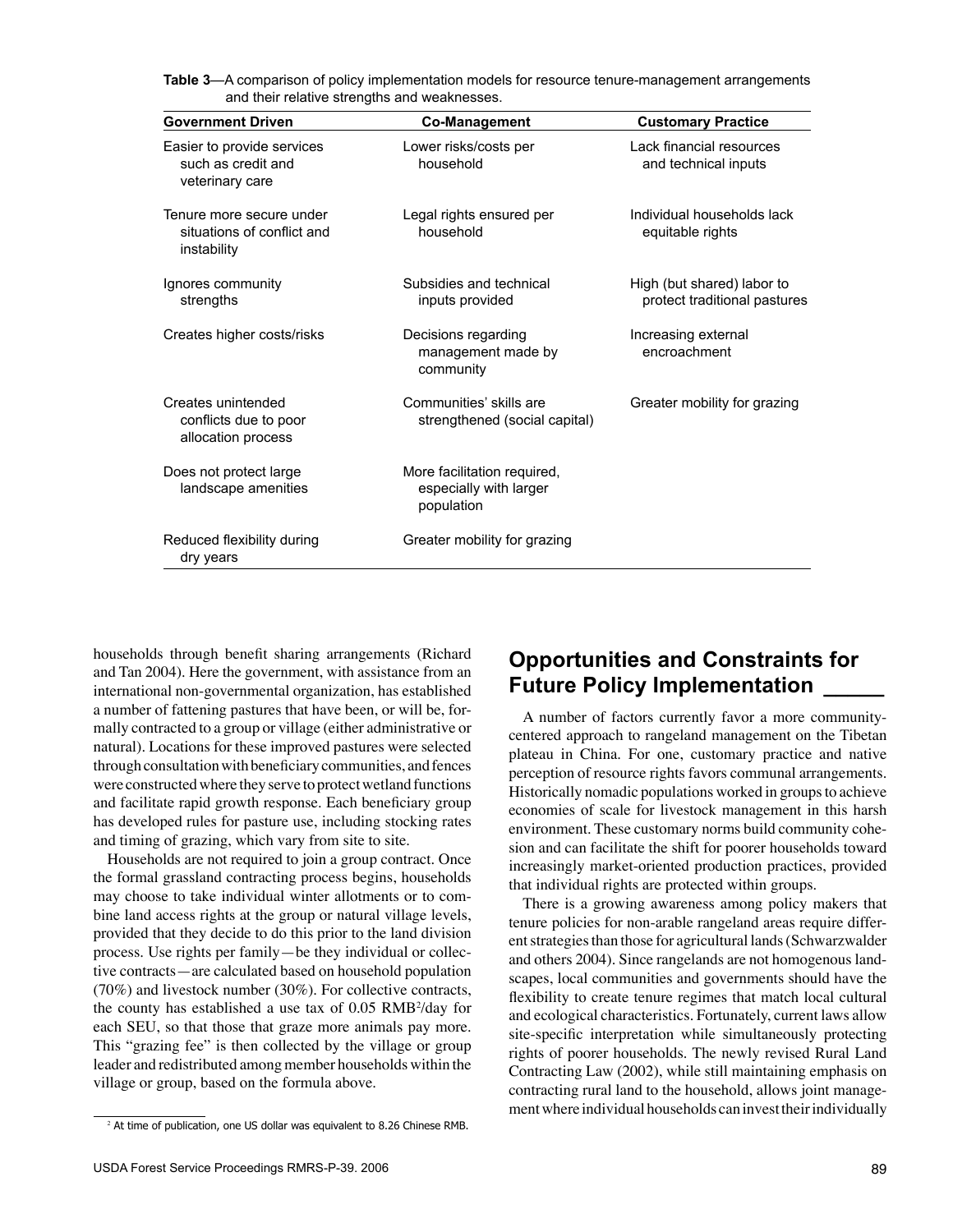**Table 3**—A comparison of policy implementation models for resource tenure-management arrangements and their relative strengths and weaknesses.

| <b>Government Driven</b>                                              | <b>Co-Management</b>                                                | <b>Customary Practice</b>                                  |
|-----------------------------------------------------------------------|---------------------------------------------------------------------|------------------------------------------------------------|
| Easier to provide services<br>such as credit and<br>veterinary care   | Lower risks/costs per<br>household                                  | Lack financial resources<br>and technical inputs           |
| Tenure more secure under<br>situations of conflict and<br>instability | Legal rights ensured per<br>household                               | Individual households lack<br>equitable rights             |
| Ignores community<br>strengths                                        | Subsidies and technical<br>inputs provided                          | High (but shared) labor to<br>protect traditional pastures |
| Creates higher costs/risks                                            | Decisions regarding<br>management made by<br>community              | Increasing external<br>encroachment                        |
| Creates unintended<br>conflicts due to poor<br>allocation process     | Communities' skills are<br>strengthened (social capital)            | Greater mobility for grazing                               |
| Does not protect large<br>landscape amenities                         | More facilitation required,<br>especially with larger<br>population |                                                            |
| Reduced flexibility during<br>dry years                               | Greater mobility for grazing                                        |                                                            |

households through benefit sharing arrangements (Richard and Tan 2004). Here the government, with assistance from an international non-governmental organization, has established a number of fattening pastures that have been, or will be, formally contracted to a group or village (either administrative or natural). Locations for these improved pastures were selected through consultation with beneficiary communities, and fences were constructed where they serve to protect wetland functions and facilitate rapid growth response. Each beneficiary group has developed rules for pasture use, including stocking rates and timing of grazing, which vary from site to site.

Households are not required to join a group contract. Once the formal grassland contracting process begins, households may choose to take individual winter allotments or to combine land access rights at the group or natural village levels, provided that they decide to do this prior to the land division process. Use rights per family—be they individual or collective contracts—are calculated based on household population (70%) and livestock number (30%). For collective contracts, the county has established a use tax of  $0.05$  RMB $2$ /day for each SEU, so that those that graze more animals pay more. This "grazing fee" is then collected by the village or group leader and redistributed among member households within the village or group, based on the formula above.

## **Opportunities and Constraints for Future Policy Implementation \_\_\_\_\_**

A number of factors currently favor a more communitycentered approach to rangeland management on the Tibetan plateau in China. For one, customary practice and native perception of resource rights favors communal arrangements. Historically nomadic populations worked in groups to achieve economies of scale for livestock management in this harsh environment. These customary norms build community cohesion and can facilitate the shift for poorer households toward increasingly market-oriented production practices, provided that individual rights are protected within groups.

There is a growing awareness among policy makers that tenure policies for non-arable rangeland areas require different strategies than those for agricultural lands (Schwarzwalder and others 2004). Since rangelands are not homogenous landscapes, local communities and governments should have the flexibility to create tenure regimes that match local cultural and ecological characteristics. Fortunately, current laws allow site-specific interpretation while simultaneously protecting rights of poorer households. The newly revised Rural Land Contracting Law (2002), while still maintaining emphasis on contracting rural land to the household, allows joint management where individual households can invest their individually

<sup>&</sup>lt;sup>2</sup> At time of publication, one US dollar was equivalent to 8.26 Chinese RMB.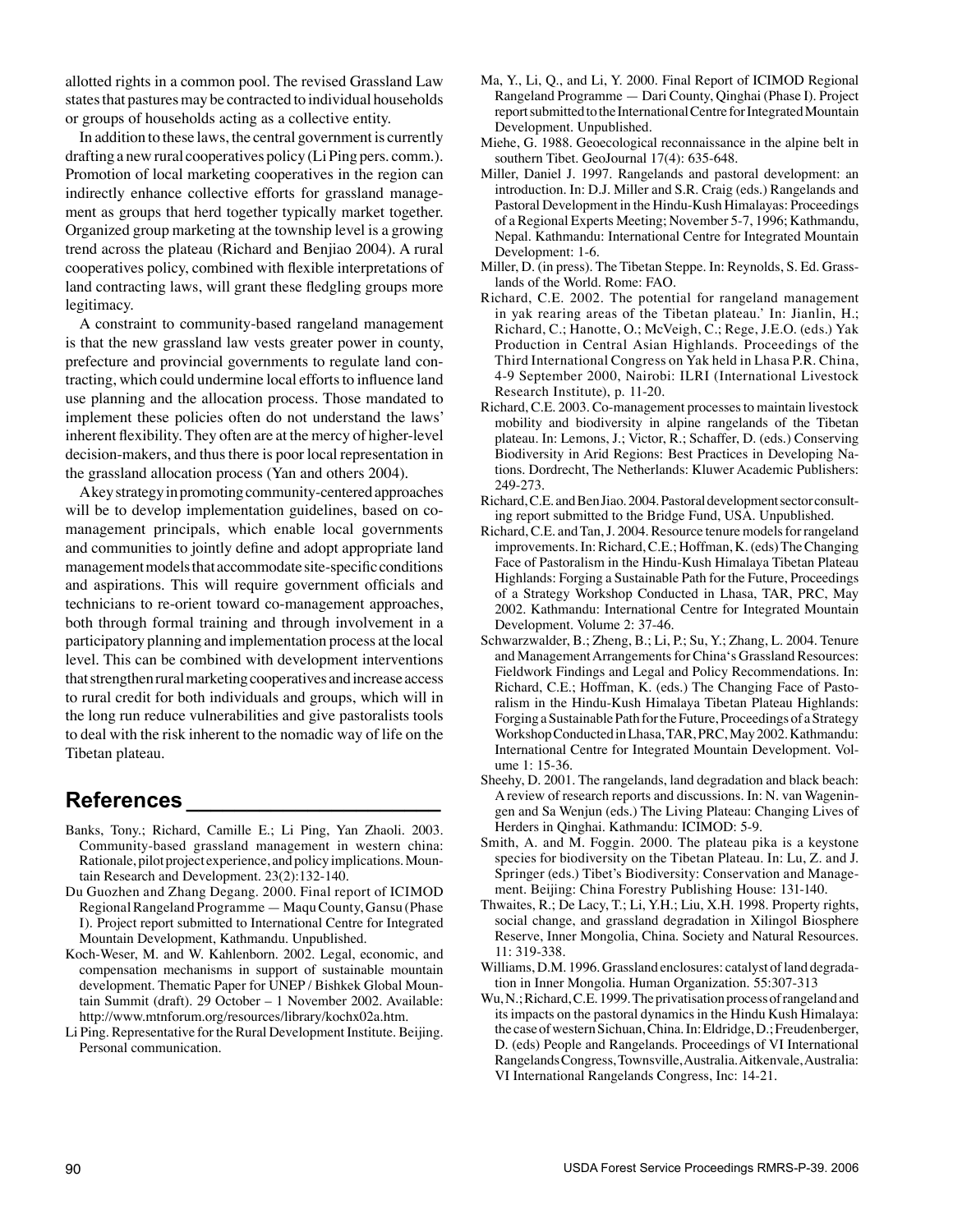allotted rights in a common pool. The revised Grassland Law states that pastures may be contracted to individual households or groups of households acting as a collective entity.

In addition to these laws, the central government is currently drafting a new rural cooperatives policy (Li Ping pers. comm.). Promotion of local marketing cooperatives in the region can indirectly enhance collective efforts for grassland management as groups that herd together typically market together. Organized group marketing at the township level is a growing trend across the plateau (Richard and Benjiao 2004). A rural cooperatives policy, combined with flexible interpretations of land contracting laws, will grant these fledgling groups more legitimacy.

A constraint to community-based rangeland management is that the new grassland law vests greater power in county, prefecture and provincial governments to regulate land contracting, which could undermine local efforts to influence land use planning and the allocation process. Those mandated to implement these policies often do not understand the laws' inherent flexibility. They often are at the mercy of higher-level decision-makers, and thus there is poor local representation in the grassland allocation process (Yan and others 2004).

A key strategy in promoting community-centered approaches will be to develop implementation guidelines, based on comanagement principals, which enable local governments and communities to jointly define and adopt appropriate land management models that accommodate site-specific conditions and aspirations. This will require government officials and technicians to re-orient toward co-management approaches, both through formal training and through involvement in a participatory planning and implementation process at the local level. This can be combined with development interventions that strengthen rural marketing cooperatives and increase access to rural credit for both individuals and groups, which will in the long run reduce vulnerabilities and give pastoralists tools to deal with the risk inherent to the nomadic way of life on the Tibetan plateau.

### **References \_\_\_\_\_\_\_\_\_\_\_\_\_\_\_\_\_\_\_\_\_**

- Banks, Tony.; Richard, Camille E.; Li Ping, Yan Zhaoli. 2003. Community-based grassland management in western china: Rationale, pilot project experience, and policy implications. Mountain Research and Development. 23(2):132-140.
- Du Guozhen and Zhang Degang. 2000. Final report of ICIMOD Regional Rangeland Programme — Maqu County, Gansu (Phase I). Project report submitted to International Centre for Integrated Mountain Development, Kathmandu. Unpublished.
- Koch-Weser, M. and W. Kahlenborn. 2002. Legal, economic, and compensation mechanisms in support of sustainable mountain development. Thematic Paper for UNEP / Bishkek Global Mountain Summit (draft). 29 October – 1 November 2002. Available: http://www.mtnforum.org/resources/library/kochx02a.htm.
- Li Ping. Representative for the Rural Development Institute. Beijing. Personal communication.
- Ma, Y., Li, Q., and Li, Y. 2000. Final Report of ICIMOD Regional Rangeland Programme — Dari County, Qinghai (Phase I). Project report submitted to the International Centre for Integrated Mountain Development. Unpublished.
- Miehe, G. 1988. Geoecological reconnaissance in the alpine belt in southern Tibet. GeoJournal 17(4): 635-648.
- Miller, Daniel J. 1997. Rangelands and pastoral development: an introduction. In: D.J. Miller and S.R. Craig (eds.) Rangelands and Pastoral Development in the Hindu-Kush Himalayas: Proceedings of a Regional Experts Meeting; November 5-7, 1996; Kathmandu, Nepal. Kathmandu: International Centre for Integrated Mountain Development: 1-6.
- Miller, D. (in press). The Tibetan Steppe. In: Reynolds, S. Ed. Grasslands of the World. Rome: FAO.
- Richard, C.E. 2002. The potential for rangeland management in yak rearing areas of the Tibetan plateau.' In: Jianlin, H.; Richard, C.; Hanotte, O.; McVeigh, C.; Rege, J.E.O. (eds.) Yak Production in Central Asian Highlands. Proceedings of the Third International Congress on Yak held in Lhasa P.R. China, 4-9 September 2000, Nairobi: ILRI (International Livestock Research Institute), p. 11-20.
- Richard, C.E. 2003. Co-management processes to maintain livestock mobility and biodiversity in alpine rangelands of the Tibetan plateau. In: Lemons, J.; Victor, R.; Schaffer, D. (eds.) Conserving Biodiversity in Arid Regions: Best Practices in Developing Nations. Dordrecht, The Netherlands: Kluwer Academic Publishers: 249-273.
- Richard, C.E. and Ben Jiao. 2004. Pastoral development sector consulting report submitted to the Bridge Fund, USA. Unpublished.
- Richard, C.E. and Tan, J. 2004. Resource tenure models for rangeland improvements. In: Richard, C.E.; Hoffman, K. (eds) The Changing Face of Pastoralism in the Hindu-Kush Himalaya Tibetan Plateau Highlands: Forging a Sustainable Path for the Future, Proceedings of a Strategy Workshop Conducted in Lhasa, TAR, PRC, May 2002. Kathmandu: International Centre for Integrated Mountain Development. Volume 2: 37-46.
- Schwarzwalder, B.; Zheng, B.; Li, P.; Su, Y.; Zhang, L. 2004. Tenure and Management Arrangements for China's Grassland Resources: Fieldwork Findings and Legal and Policy Recommendations. In: Richard, C.E.; Hoffman, K. (eds.) The Changing Face of Pastoralism in the Hindu-Kush Himalaya Tibetan Plateau Highlands: Forging a Sustainable Path for the Future, Proceedings of a Strategy Workshop Conducted in Lhasa, TAR, PRC, May 2002. Kathmandu: International Centre for Integrated Mountain Development. Volume 1: 15-36.
- Sheehy, D. 2001. The rangelands, land degradation and black beach: A review of research reports and discussions. In: N. van Wageningen and Sa Wenjun (eds.) The Living Plateau: Changing Lives of Herders in Qinghai. Kathmandu: ICIMOD: 5-9.
- Smith, A. and M. Foggin. 2000. The plateau pika is a keystone species for biodiversity on the Tibetan Plateau. In: Lu, Z. and J. Springer (eds.) Tibet's Biodiversity: Conservation and Management. Beijing: China Forestry Publishing House: 131-140.
- Thwaites, R.; De Lacy, T.; Li, Y.H.; Liu, X.H. 1998. Property rights, social change, and grassland degradation in Xilingol Biosphere Reserve, Inner Mongolia, China. Society and Natural Resources. 11: 319-338.
- Williams, D.M. 1996. Grassland enclosures: catalyst of land degradation in Inner Mongolia. Human Organization. 55:307-313
- Wu, N.; Richard, C.E. 1999. The privatisation process of rangeland and its impacts on the pastoral dynamics in the Hindu Kush Himalaya: the case of western Sichuan, China. In: Eldridge, D.; Freudenberger, D. (eds) People and Rangelands. Proceedings of VI International Rangelands Congress, Townsville, Australia. Aitkenvale, Australia: VI International Rangelands Congress, Inc: 14-21.